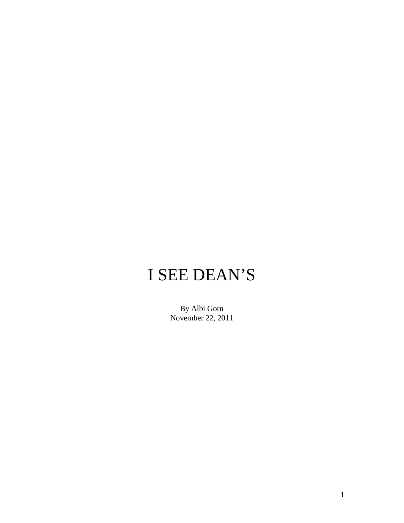# I SEE DEAN'S

By Albi Gorn November 22, 2011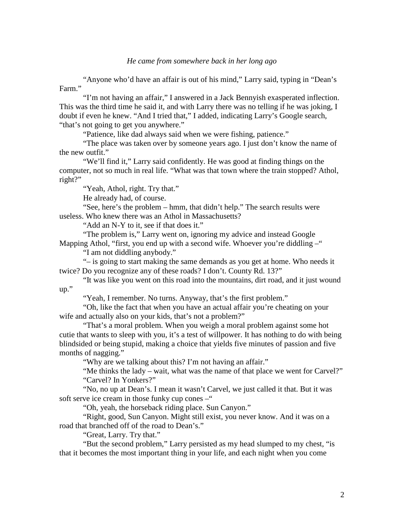# *He came from somewhere back in her long ago*

 "Anyone who'd have an affair is out of his mind," Larry said, typing in "Dean's Farm."

 "I'm not having an affair," I answered in a Jack Bennyish exasperated inflection. This was the third time he said it, and with Larry there was no telling if he was joking, I doubt if even he knew. "And I tried that," I added, indicating Larry's Google search, "that's not going to get you anywhere."

"Patience, like dad always said when we were fishing, patience."

 "The place was taken over by someone years ago. I just don't know the name of the new outfit."

"We'll find it," Larry said confidently. He was good at finding things on the computer, not so much in real life. "What was that town where the train stopped? Athol, right?"

"Yeah, Athol, right. Try that."

He already had, of course.

 "See, here's the problem – hmm, that didn't help." The search results were useless. Who knew there was an Athol in Massachusetts?

"Add an N-Y to it, see if that does it."

 "The problem is," Larry went on, ignoring my advice and instead Google Mapping Athol, "first, you end up with a second wife. Whoever you're diddling –"

"I am not diddling anybody."

 "– is going to start making the same demands as you get at home. Who needs it twice? Do you recognize any of these roads? I don't. County Rd. 13?"

 "It was like you went on this road into the mountains, dirt road, and it just wound up."

"Yeah, I remember. No turns. Anyway, that's the first problem."

 "Oh, like the fact that when you have an actual affair you're cheating on your wife and actually also on your kids, that's not a problem?"

 "That's a moral problem. When you weigh a moral problem against some hot cutie that wants to sleep with you, it's a test of willpower. It has nothing to do with being blindsided or being stupid, making a choice that yields five minutes of passion and five months of nagging."

"Why are we talking about this? I'm not having an affair."

 "Me thinks the lady – wait, what was the name of that place we went for Carvel?" "Carvel? In Yonkers?"

 "No, no up at Dean's. I mean it wasn't Carvel, we just called it that. But it was soft serve ice cream in those funky cup cones –"

"Oh, yeah, the horseback riding place. Sun Canyon."

 "Right, good, Sun Canyon. Might still exist, you never know. And it was on a road that branched off of the road to Dean's."

"Great, Larry. Try that."

 "But the second problem," Larry persisted as my head slumped to my chest, "is that it becomes the most important thing in your life, and each night when you come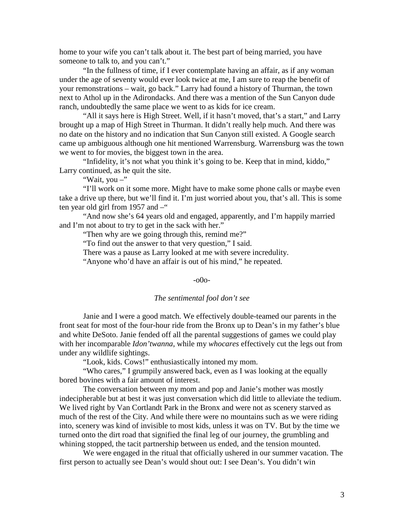home to your wife you can't talk about it. The best part of being married, you have someone to talk to, and you can't."

 "In the fullness of time, if I ever contemplate having an affair, as if any woman under the age of seventy would ever look twice at me, I am sure to reap the benefit of your remonstrations – wait, go back." Larry had found a history of Thurman, the town next to Athol up in the Adirondacks. And there was a mention of the Sun Canyon dude ranch, undoubtedly the same place we went to as kids for ice cream.

 "All it says here is High Street. Well, if it hasn't moved, that's a start," and Larry brought up a map of High Street in Thurman. It didn't really help much. And there was no date on the history and no indication that Sun Canyon still existed. A Google search came up ambiguous although one hit mentioned Warrensburg. Warrensburg was the town we went to for movies, the biggest town in the area.

 "Infidelity, it's not what you think it's going to be. Keep that in mind, kiddo," Larry continued, as he quit the site.

"Wait, you -"

 "I'll work on it some more. Might have to make some phone calls or maybe even take a drive up there, but we'll find it. I'm just worried about you, that's all. This is some ten year old girl from 1957 and –"

 "And now she's 64 years old and engaged, apparently, and I'm happily married and I'm not about to try to get in the sack with her."

"Then why are we going through this, remind me?"

"To find out the answer to that very question," I said.

There was a pause as Larry looked at me with severe incredulity.

"Anyone who'd have an affair is out of his mind," he repeated.

-o0o-

# *The sentimental fool don't see*

 Janie and I were a good match. We effectively double-teamed our parents in the front seat for most of the four-hour ride from the Bronx up to Dean's in my father's blue and white DeSoto. Janie fended off all the parental suggestions of games we could play with her incomparable *Idon'twanna*, while my *whocares* effectively cut the legs out from under any wildlife sightings.

"Look, kids. Cows!" enthusiastically intoned my mom.

 "Who cares," I grumpily answered back, even as I was looking at the equally bored bovines with a fair amount of interest.

 The conversation between my mom and pop and Janie's mother was mostly indecipherable but at best it was just conversation which did little to alleviate the tedium. We lived right by Van Cortlandt Park in the Bronx and were not as scenery starved as much of the rest of the City. And while there were no mountains such as we were riding into, scenery was kind of invisible to most kids, unless it was on TV. But by the time we turned onto the dirt road that signified the final leg of our journey, the grumbling and whining stopped, the tacit partnership between us ended, and the tension mounted.

 We were engaged in the ritual that officially ushered in our summer vacation. The first person to actually see Dean's would shout out: I see Dean's. You didn't win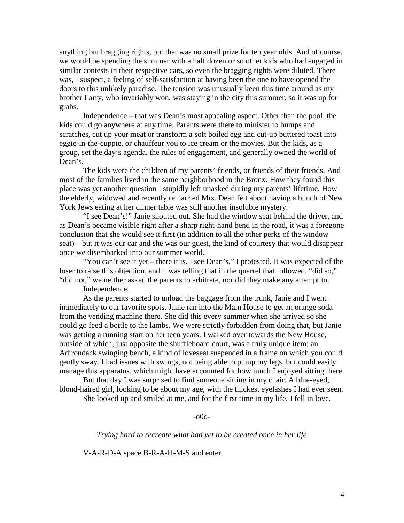anything but bragging rights, but that was no small prize for ten year olds. And of course, we would be spending the summer with a half dozen or so other kids who had engaged in similar contests in their respective cars, so even the bragging rights were diluted. There was, I suspect, a feeling of self-satisfaction at having been the one to have opened the doors to this unlikely paradise. The tension was unusually keen this time around as my brother Larry, who invariably won, was staying in the city this summer, so it was up for grabs.

 Independence – that was Dean's most appealing aspect. Other than the pool, the kids could go anywhere at any time. Parents were there to minister to bumps and scratches, cut up your meat or transform a soft boiled egg and cut-up buttered toast into eggie-in-the-cuppie, or chauffeur you to ice cream or the movies. But the kids, as a group, set the day's agenda, the rules of engagement, and generally owned the world of Dean's.

 The kids were the children of my parents' friends, or friends of their friends. And most of the families lived in the same neighborhood in the Bronx. How they found this place was yet another question I stupidly left unasked during my parents' lifetime. How the elderly, widowed and recently remarried Mrs. Dean felt about having a bunch of New York Jews eating at her dinner table was still another insoluble mystery.

 "I see Dean's!" Janie shouted out. She had the window seat behind the driver, and as Dean's became visible right after a sharp right-hand bend in the road, it was a foregone conclusion that she would see it first (in addition to all the other perks of the window seat) – but it was our car and she was our guest, the kind of courtesy that would disappear once we disembarked into our summer world.

 "You can't see it yet – there it is. I see Dean's," I protested. It was expected of the loser to raise this objection, and it was telling that in the quarrel that followed, "did so," "did not," we neither asked the parents to arbitrate, nor did they make any attempt to.

Independence.

 As the parents started to unload the baggage from the trunk, Janie and I went immediately to our favorite spots. Janie ran into the Main House to get an orange soda from the vending machine there. She did this every summer when she arrived so she could go feed a bottle to the lambs. We were strictly forbidden from doing that, but Janie was getting a running start on her teen years. I walked over towards the New House, outside of which, just opposite the shuffleboard court, was a truly unique item: an Adirondack swinging bench, a kind of loveseat suspended in a frame on which you could gently sway. I had issues with swings, not being able to pump my legs, but could easily manage this apparatus, which might have accounted for how much I enjoyed sitting there.

 But that day I was surprised to find someone sitting in my chair. A blue-eyed, blond-haired girl, looking to be about my age, with the thickest eyelashes I had ever seen.

She looked up and smiled at me, and for the first time in my life, I fell in love.

-o0o-

*Trying hard to recreate what had yet to be created once in her life* 

V-A-R-D-A space B-R-A-H-M-S and enter.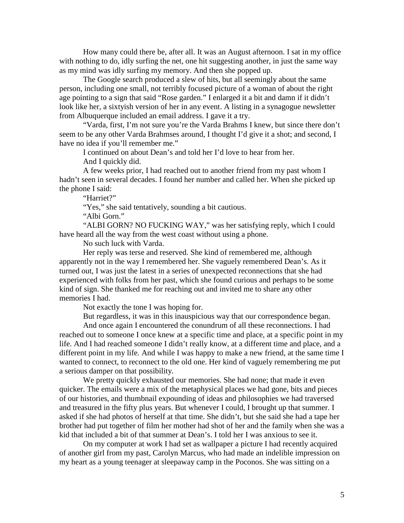How many could there be, after all. It was an August afternoon. I sat in my office with nothing to do, idly surfing the net, one hit suggesting another, in just the same way as my mind was idly surfing my memory. And then she popped up.

 The Google search produced a slew of hits, but all seemingly about the same person, including one small, not terribly focused picture of a woman of about the right age pointing to a sign that said "Rose garden." I enlarged it a bit and damn if it didn't look like her, a sixtyish version of her in any event. A listing in a synagogue newsletter from Albuquerque included an email address. I gave it a try.

 "Varda, first, I'm not sure you're the Varda Brahms I knew, but since there don't seem to be any other Varda Brahmses around, I thought I'd give it a shot; and second, I have no idea if you'll remember me."

I continued on about Dean's and told her I'd love to hear from her.

And I quickly did.

 A few weeks prior, I had reached out to another friend from my past whom I hadn't seen in several decades. I found her number and called her. When she picked up the phone I said:

"Harriet?"

"Yes," she said tentatively, sounding a bit cautious.

"Albi Gorn."

 "ALBI GORN? NO FUCKING WAY," was her satisfying reply, which I could have heard all the way from the west coast without using a phone.

No such luck with Varda.

 Her reply was terse and reserved. She kind of remembered me, although apparently not in the way I remembered her. She vaguely remembered Dean's. As it turned out, I was just the latest in a series of unexpected reconnections that she had experienced with folks from her past, which she found curious and perhaps to be some kind of sign. She thanked me for reaching out and invited me to share any other memories I had.

Not exactly the tone I was hoping for.

But regardless, it was in this inauspicious way that our correspondence began.

 And once again I encountered the conundrum of all these reconnections. I had reached out to someone I once knew at a specific time and place, at a specific point in my life. And I had reached someone I didn't really know, at a different time and place, and a different point in my life. And while I was happy to make a new friend, at the same time I wanted to connect, to reconnect to the old one. Her kind of vaguely remembering me put a serious damper on that possibility.

 We pretty quickly exhausted our memories. She had none; that made it even quicker. The emails were a mix of the metaphysical places we had gone, bits and pieces of our histories, and thumbnail expounding of ideas and philosophies we had traversed and treasured in the fifty plus years. But whenever I could, I brought up that summer. I asked if she had photos of herself at that time. She didn't, but she said she had a tape her brother had put together of film her mother had shot of her and the family when she was a kid that included a bit of that summer at Dean's. I told her I was anxious to see it.

 On my computer at work I had set as wallpaper a picture I had recently acquired of another girl from my past, Carolyn Marcus, who had made an indelible impression on my heart as a young teenager at sleepaway camp in the Poconos. She was sitting on a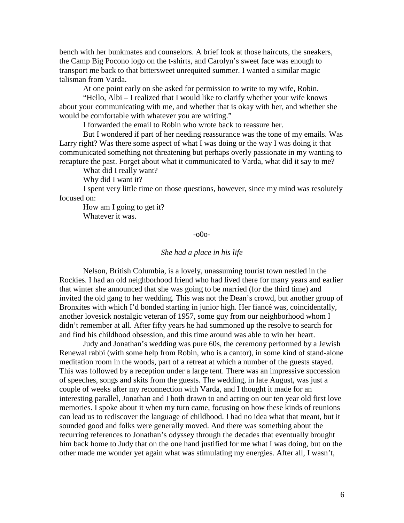bench with her bunkmates and counselors. A brief look at those haircuts, the sneakers, the Camp Big Pocono logo on the t-shirts, and Carolyn's sweet face was enough to transport me back to that bittersweet unrequited summer. I wanted a similar magic talisman from Varda.

At one point early on she asked for permission to write to my wife, Robin.

 "Hello, Albi – I realized that I would like to clarify whether your wife knows about your communicating with me, and whether that is okay with her, and whether she would be comfortable with whatever you are writing."

I forwarded the email to Robin who wrote back to reassure her.

 But I wondered if part of her needing reassurance was the tone of my emails. Was Larry right? Was there some aspect of what I was doing or the way I was doing it that communicated something not threatening but perhaps overly passionate in my wanting to recapture the past. Forget about what it communicated to Varda, what did it say to me?

What did I really want?

Why did I want it?

 I spent very little time on those questions, however, since my mind was resolutely focused on:

 How am I going to get it? Whatever it was.

#### -o0o-

# *She had a place in his life*

 Nelson, British Columbia, is a lovely, unassuming tourist town nestled in the Rockies. I had an old neighborhood friend who had lived there for many years and earlier that winter she announced that she was going to be married (for the third time) and invited the old gang to her wedding. This was not the Dean's crowd, but another group of Bronxites with which I'd bonded starting in junior high. Her fiancé was, coincidentally, another lovesick nostalgic veteran of 1957, some guy from our neighborhood whom I didn't remember at all. After fifty years he had summoned up the resolve to search for and find his childhood obsession, and this time around was able to win her heart.

 Judy and Jonathan's wedding was pure 60s, the ceremony performed by a Jewish Renewal rabbi (with some help from Robin, who is a cantor), in some kind of stand-alone meditation room in the woods, part of a retreat at which a number of the guests stayed. This was followed by a reception under a large tent. There was an impressive succession of speeches, songs and skits from the guests. The wedding, in late August, was just a couple of weeks after my reconnection with Varda, and I thought it made for an interesting parallel, Jonathan and I both drawn to and acting on our ten year old first love memories. I spoke about it when my turn came, focusing on how these kinds of reunions can lead us to rediscover the language of childhood. I had no idea what that meant, but it sounded good and folks were generally moved. And there was something about the recurring references to Jonathan's odyssey through the decades that eventually brought him back home to Judy that on the one hand justified for me what I was doing, but on the other made me wonder yet again what was stimulating my energies. After all, I wasn't,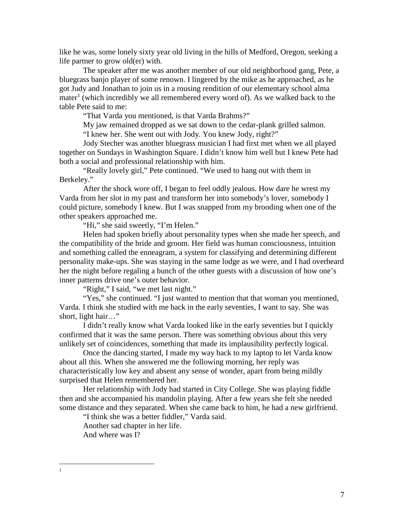like he was, some lonely sixty year old living in the hills of Medford, Oregon, seeking a life partner to grow old(er) with.

The speaker after me was another member of our old neighborhood gang, Pete, a bluegrass banjo player of some renown. I lingered by the mike as he approached, as he got Judy and Jonathan to join us in a rousing rendition of our elementary school alma mater<sup>1</sup> (which incredibly we all remembered every word of). As we walked back to the table Pete said to me:

"That Varda you mentioned, is that Varda Brahms?"

My jaw remained dropped as we sat down to the cedar-plank grilled salmon.

"I knew her. She went out with Jody. You knew Jody, right?"

 Jody Stecher was another bluegrass musician I had first met when we all played together on Sundays in Washington Square. I didn't know him well but I knew Pete had both a social and professional relationship with him.

 "Really lovely girl," Pete continued. "We used to hang out with them in Berkeley."

 After the shock wore off, I began to feel oddly jealous. How dare he wrest my Varda from her slot in my past and transform her into somebody's lover, somebody I could picture, somebody I knew. But I was snapped from my brooding when one of the other speakers approached me.

"Hi," she said sweetly, "I'm Helen."

 Helen had spoken briefly about personality types when she made her speech, and the compatibility of the bride and groom. Her field was human consciousness, intuition and something called the enneagram, a system for classifying and determining different personality make-ups. She was staying in the same lodge as we were, and I had overheard her the night before regaling a bunch of the other guests with a discussion of how one's inner patterns drive one's outer behavior.

"Right," I said, "we met last night."

"Yes," she continued. "I just wanted to mention that that woman you mentioned, Varda. I think she studied with me back in the early seventies, I want to say. She was short, light hair…"

 I didn't really know what Varda looked like in the early seventies but I quickly confirmed that it was the same person. There was something obvious about this very unlikely set of coincidences, something that made its implausibility perfectly logical.

 Once the dancing started, I made my way back to my laptop to let Varda know about all this. When she answered me the following morning, her reply was characteristically low key and absent any sense of wonder, apart from being mildly surprised that Helen remembered her.

 Her relationship with Jody had started in City College. She was playing fiddle then and she accompanied his mandolin playing. After a few years she felt she needed some distance and they separated. When she came back to him, he had a new girlfriend.

"I think she was a better fiddler," Varda said.

 Another sad chapter in her life. And where was I?

 $\frac{1}{1}$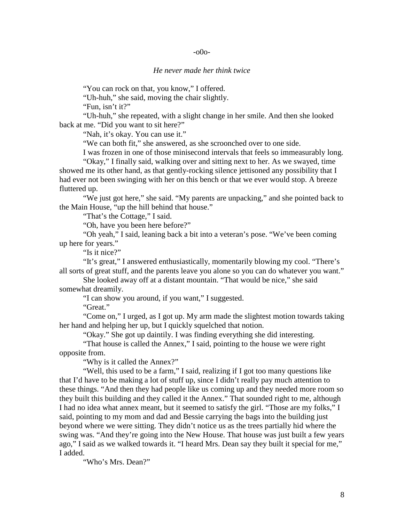#### *He never made her think twice*

"You can rock on that, you know," I offered.

"Uh-huh," she said, moving the chair slightly.

"Fun. isn't it?"

 "Uh-huh," she repeated, with a slight change in her smile. And then she looked back at me. "Did you want to sit here?"

"Nah, it's okay. You can use it."

"We can both fit," she answered, as she scroonched over to one side.

I was frozen in one of those minisecond intervals that feels so immeasurably long.

 "Okay," I finally said, walking over and sitting next to her. As we swayed, time showed me its other hand, as that gently-rocking silence jettisoned any possibility that I had ever not been swinging with her on this bench or that we ever would stop. A breeze fluttered up.

 "We just got here," she said. "My parents are unpacking," and she pointed back to the Main House, "up the hill behind that house."

"That's the Cottage," I said.

"Oh, have you been here before?"

 "Oh yeah," I said, leaning back a bit into a veteran's pose. "We've been coming up here for years."

"Is it nice?"

 "It's great," I answered enthusiastically, momentarily blowing my cool. "There's all sorts of great stuff, and the parents leave you alone so you can do whatever you want."

 She looked away off at a distant mountain. "That would be nice," she said somewhat dreamily.

"I can show you around, if you want," I suggested.

"Great."

 "Come on," I urged, as I got up. My arm made the slightest motion towards taking her hand and helping her up, but I quickly squelched that notion.

"Okay." She got up daintily. I was finding everything she did interesting.

"That house is called the Annex," I said, pointing to the house we were right opposite from.

"Why is it called the Annex?"

 "Well, this used to be a farm," I said, realizing if I got too many questions like that I'd have to be making a lot of stuff up, since I didn't really pay much attention to these things. "And then they had people like us coming up and they needed more room so they built this building and they called it the Annex." That sounded right to me, although I had no idea what annex meant, but it seemed to satisfy the girl. "Those are my folks," I said, pointing to my mom and dad and Bessie carrying the bags into the building just beyond where we were sitting. They didn't notice us as the trees partially hid where the swing was. "And they're going into the New House. That house was just built a few years ago," I said as we walked towards it. "I heard Mrs. Dean say they built it special for me," I added.

"Who's Mrs. Dean?"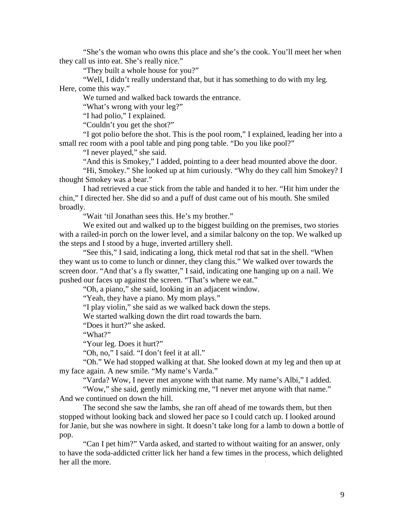"She's the woman who owns this place and she's the cook. You'll meet her when they call us into eat. She's really nice."

"They built a whole house for you?"

 "Well, I didn't really understand that, but it has something to do with my leg. Here, come this way."

We turned and walked back towards the entrance.

"What's wrong with your leg?"

"I had polio," I explained.

"Couldn't you get the shot?"

 "I got polio before the shot. This is the pool room," I explained, leading her into a small rec room with a pool table and ping pong table. "Do you like pool?"

"I never played," she said.

"And this is Smokey," I added, pointing to a deer head mounted above the door.

 "Hi, Smokey." She looked up at him curiously. "Why do they call him Smokey? I thought Smokey was a bear."

 I had retrieved a cue stick from the table and handed it to her. "Hit him under the chin," I directed her. She did so and a puff of dust came out of his mouth. She smiled broadly.

"Wait 'til Jonathan sees this. He's my brother."

 We exited out and walked up to the biggest building on the premises, two stories with a railed-in porch on the lower level, and a similar balcony on the top. We walked up the steps and I stood by a huge, inverted artillery shell.

 "See this," I said, indicating a long, thick metal rod that sat in the shell. "When they want us to come to lunch or dinner, they clang this." We walked over towards the screen door. "And that's a fly swatter," I said, indicating one hanging up on a nail. We pushed our faces up against the screen. "That's where we eat."

"Oh, a piano," she said, looking in an adjacent window.

"Yeah, they have a piano. My mom plays."

"I play violin," she said as we walked back down the steps.

We started walking down the dirt road towards the barn.

"Does it hurt?" she asked.

"What?"

"Your leg. Does it hurt?"

"Oh, no," I said. "I don't feel it at all."

 "Oh." We had stopped walking at that. She looked down at my leg and then up at my face again. A new smile. "My name's Varda."

"Varda? Wow, I never met anyone with that name. My name's Albi," I added.

 "Wow," she said, gently mimicking me, "I never met anyone with that name." And we continued on down the hill.

 The second she saw the lambs, she ran off ahead of me towards them, but then stopped without looking back and slowed her pace so I could catch up. I looked around for Janie, but she was nowhere in sight. It doesn't take long for a lamb to down a bottle of pop.

 "Can I pet him?" Varda asked, and started to without waiting for an answer, only to have the soda-addicted critter lick her hand a few times in the process, which delighted her all the more.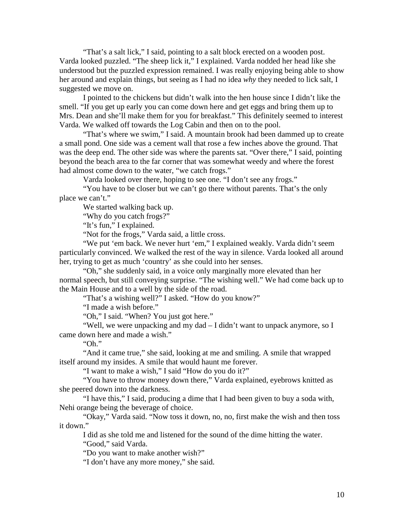"That's a salt lick," I said, pointing to a salt block erected on a wooden post. Varda looked puzzled. "The sheep lick it," I explained. Varda nodded her head like she understood but the puzzled expression remained. I was really enjoying being able to show her around and explain things, but seeing as I had no idea *why* they needed to lick salt, I suggested we move on.

 I pointed to the chickens but didn't walk into the hen house since I didn't like the smell. "If you get up early you can come down here and get eggs and bring them up to Mrs. Dean and she'll make them for you for breakfast." This definitely seemed to interest Varda. We walked off towards the Log Cabin and then on to the pool.

 "That's where we swim," I said. A mountain brook had been dammed up to create a small pond. One side was a cement wall that rose a few inches above the ground. That was the deep end. The other side was where the parents sat. "Over there," I said, pointing beyond the beach area to the far corner that was somewhat weedy and where the forest had almost come down to the water, "we catch frogs."

Varda looked over there, hoping to see one. "I don't see any frogs."

 "You have to be closer but we can't go there without parents. That's the only place we can't."

We started walking back up.

"Why do you catch frogs?"

"It's fun," I explained.

"Not for the frogs," Varda said, a little cross.

 "We put 'em back. We never hurt 'em," I explained weakly. Varda didn't seem particularly convinced. We walked the rest of the way in silence. Varda looked all around her, trying to get as much 'country' as she could into her senses.

 "Oh," she suddenly said, in a voice only marginally more elevated than her normal speech, but still conveying surprise. "The wishing well." We had come back up to the Main House and to a well by the side of the road.

"That's a wishing well?" I asked. "How do you know?"

"I made a wish before."

"Oh," I said. "When? You just got here."

 "Well, we were unpacking and my dad – I didn't want to unpack anymore, so I came down here and made a wish."

"Oh."

 "And it came true," she said, looking at me and smiling. A smile that wrapped itself around my insides. A smile that would haunt me forever.

"I want to make a wish," I said "How do you do it?"

 "You have to throw money down there," Varda explained, eyebrows knitted as she peered down into the darkness.

 "I have this," I said, producing a dime that I had been given to buy a soda with, Nehi orange being the beverage of choice.

 "Okay," Varda said. "Now toss it down, no, no, first make the wish and then toss it down."

 I did as she told me and listened for the sound of the dime hitting the water. "Good," said Varda.

"Do you want to make another wish?"

"I don't have any more money," she said.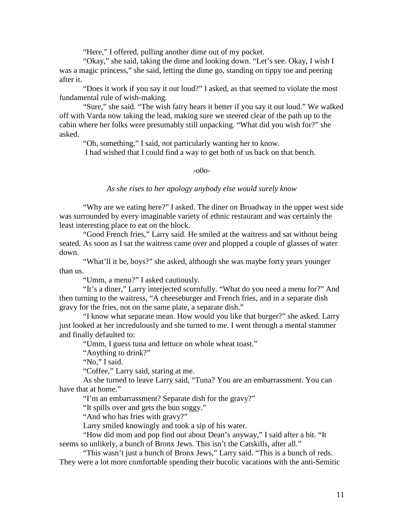"Here," I offered, pulling another dime out of my pocket.

 "Okay," she said, taking the dime and looking down. "Let's see. Okay, I wish I was a magic princess," she said, letting the dime go, standing on tippy toe and peering after it.

 "Does it work if you say it out loud?" I asked, as that seemed to violate the most fundamental rule of wish-making.

 "Sure," she said. "The wish fairy hears it better if you say it out loud." We walked off with Varda now taking the lead, making sure we steered clear of the path up to the cabin where her folks were presumably still unpacking. "What did you wish for?" she asked.

"Oh, something," I said, not particularly wanting her to know.

I had wished that I could find a way to get both of us back on that bench.

# -o0o-

#### *As she rises to her apology anybody else would surely know*

 "Why are we eating here?" I asked. The diner on Broadway in the upper west side was surrounded by every imaginable variety of ethnic restaurant and was certainly the least interesting place to eat on the block.

 "Good French fries," Larry said. He smiled at the waitress and sat without being seated. As soon as I sat the waitress came over and plopped a couple of glasses of water down.

"What'll it be, boys?" she asked, although she was maybe forty years younger than us.

"Umm, a menu?" I asked cautiously.

 "It's a diner," Larry interjected scornfully. "What do you need a menu for?" And then turning to the waitress, "A cheeseburger and French fries, and in a separate dish gravy for the fries, not on the same plate, a separate dish."

 "I know what separate mean. How would you like that burger?" she asked. Larry just looked at her incredulously and she turned to me. I went through a mental stammer and finally defaulted to:

"Umm, I guess tuna and lettuce on whole wheat toast."

"Anything to drink?"

"No," I said.

"Coffee," Larry said, staring at me.

 As she turned to leave Larry said, "Tuna? You are an embarrassment. You can have that at home."

"I'm an embarrassment? Separate dish for the gravy?"

"It spills over and gets the bun soggy."

"And who has fries with gravy?"

Larry smiled knowingly and took a sip of his water.

 "How did mom and pop find out about Dean's anyway," I said after a bit. "It seems so unlikely, a bunch of Bronx Jews. This isn't the Catskills, after all."

"This wasn't just a bunch of Bronx Jews," Larry said. "This is a bunch of reds. They were a lot more comfortable spending their bucolic vacations with the anti-Semitic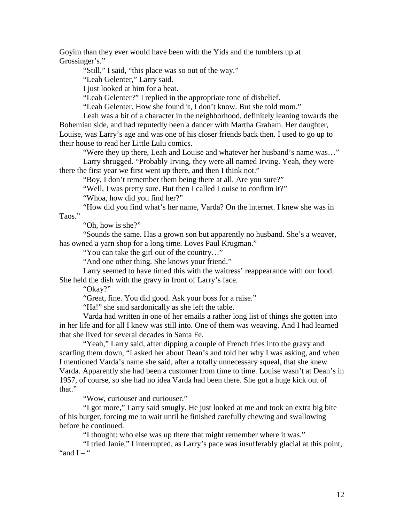Goyim than they ever would have been with the Yids and the tumblers up at Grossinger's."

"Still," I said, "this place was so out of the way."

"Leah Gelenter," Larry said.

I just looked at him for a beat.

"Leah Gelenter?" I replied in the appropriate tone of disbelief.

"Leah Gelenter. How she found it, I don't know. But she told mom."

 Leah was a bit of a character in the neighborhood, definitely leaning towards the Bohemian side, and had reputedly been a dancer with Martha Graham. Her daughter, Louise, was Larry's age and was one of his closer friends back then. I used to go up to their house to read her Little Lulu comics.

 "Were they up there, Leah and Louise and whatever her husband's name was…" Larry shrugged. "Probably Irving, they were all named Irving. Yeah, they were

there the first year we first went up there, and then I think not."

"Boy, I don't remember them being there at all. Are you sure?"

"Well, I was pretty sure. But then I called Louise to confirm it?"

"Whoa, how did you find her?"

 "How did you find what's her name, Varda? On the internet. I knew she was in Taos."

"Oh, how is she?"

 "Sounds the same. Has a grown son but apparently no husband. She's a weaver, has owned a yarn shop for a long time. Loves Paul Krugman."

"You can take the girl out of the country…"

"And one other thing. She knows your friend."

 Larry seemed to have timed this with the waitress' reappearance with our food. She held the dish with the gravy in front of Larry's face.

"Okay?"

"Great, fine. You did good. Ask your boss for a raise."

"Ha!" she said sardonically as she left the table.

 Varda had written in one of her emails a rather long list of things she gotten into in her life and for all I knew was still into. One of them was weaving. And I had learned that she lived for several decades in Santa Fe.

 "Yeah," Larry said, after dipping a couple of French fries into the gravy and scarfing them down, "I asked her about Dean's and told her why I was asking, and when I mentioned Varda's name she said, after a totally unnecessary squeal, that she knew Varda. Apparently she had been a customer from time to time. Louise wasn't at Dean's in 1957, of course, so she had no idea Varda had been there. She got a huge kick out of that."

"Wow, curiouser and curiouser."

 "I got more," Larry said smugly. He just looked at me and took an extra big bite of his burger, forcing me to wait until he finished carefully chewing and swallowing before he continued.

"I thought: who else was up there that might remember where it was."

 "I tried Janie," I interrupted, as Larry's pace was insufferably glacial at this point, "and  $I -$ "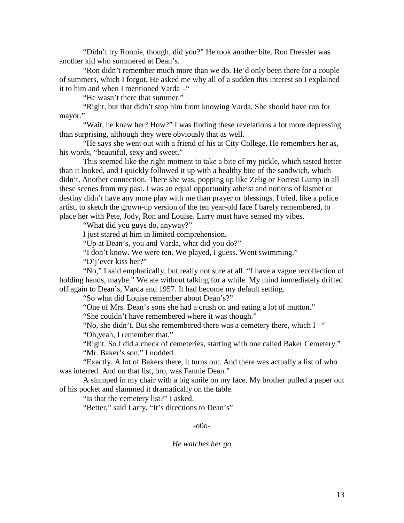"Didn't try Ronnie, though, did you?" He took another bite. Ron Dressler was another kid who summered at Dean's.

"Ron didn't remember much more than we do. He'd only been there for a couple of summers, which I forgot. He asked me why all of a sudden this interest so I explained it to him and when I mentioned Varda –"

"He wasn't there that summer."

 "Right, but that didn't stop him from knowing Varda. She should have run for mayor."

 "Wait, he knew her? How?" I was finding these revelations a lot more depressing than surprising, although they were obviously that as well.

 "He says she went out with a friend of his at City College. He remembers her as, his words, "beautiful, sexy and sweet."

 This seemed like the right moment to take a bite of my pickle, which tasted better than it looked, and I quickly followed it up with a healthy bite of the sandwich, which didn't. Another connection. There she was, popping up like Zelig or Forrest Gump in all these scenes from my past. I was an equal opportunity atheist and notions of kismet or destiny didn't have any more play with me than prayer or blessings. I tried, like a police artist, to sketch the grown-up version of the ten year-old face I barely remembered, to place her with Pete, Jody, Ron and Louise. Larry must have sensed my vibes.

"What did you guys do, anyway?"

I just stared at him in limited comprehension.

"Up at Dean's, you and Varda, what did you do?"

"I don't know. We were ten. We played, I guess. Went swimming."

"D'j'ever kiss her?"

 "No," I said emphatically, but really not sure at all. "I have a vague recollection of holding hands, maybe." We ate without talking for a while. My mind immediately drifted off again to Dean's, Varda and 1957. It had become my default setting.

"So what did Louise remember about Dean's?"

"One of Mrs. Dean's sons she had a crush on and eating a lot of mutton."

"She couldn't have remembered where it was though."

"No, she didn't. But she remembered there was a cemetery there, which  $I -$ "

"Oh,yeah, I remember that."

 "Right. So I did a check of cemeteries, starting with one called Baker Cemetery." "Mr. Baker's son," I nodded.

 "Exactly. A lot of Bakers there, it turns out. And there was actually a list of who was interred. And on that list, bro, was Fannie Dean."

 A slumped in my chair with a big smile on my face. My brother pulled a paper out of his pocket and slammed it dramatically on the table.

"Is that the cemetery list?" I asked.

"Better," said Larry. "It's directions to Dean's"

-o0o-

*He watches her go*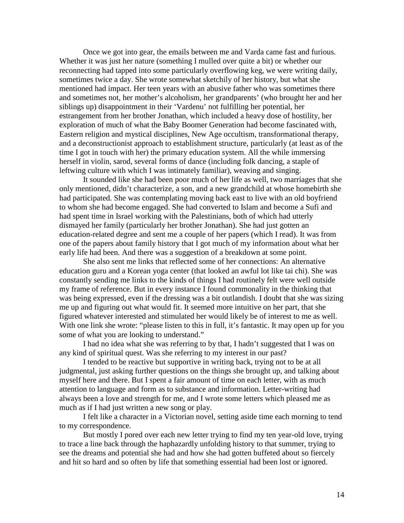Once we got into gear, the emails between me and Varda came fast and furious. Whether it was just her nature (something I mulled over quite a bit) or whether our reconnecting had tapped into some particularly overflowing keg, we were writing daily, sometimes twice a day. She wrote somewhat sketchily of her history, but what she mentioned had impact. Her teen years with an abusive father who was sometimes there and sometimes not, her mother's alcoholism, her grandparents' (who brought her and her siblings up) disappointment in their 'Vardenu' not fulfilling her potential, her estrangement from her brother Jonathan, which included a heavy dose of hostility, her exploration of much of what the Baby Boomer Generation had become fascinated with, Eastern religion and mystical disciplines, New Age occultism, transformational therapy, and a deconstructionist approach to establishment structure, particularly (at least as of the time I got in touch with her) the primary education system. All the while immersing herself in violin, sarod, several forms of dance (including folk dancing, a staple of leftwing culture with which I was intimately familiar), weaving and singing.

It sounded like she had been poor much of her life as well, two marriages that she only mentioned, didn't characterize, a son, and a new grandchild at whose homebirth she had participated. She was contemplating moving back east to live with an old boyfriend to whom she had become engaged. She had converted to Islam and become a Sufi and had spent time in Israel working with the Palestinians, both of which had utterly dismayed her family (particularly her brother Jonathan). She had just gotten an education-related degree and sent me a couple of her papers (which I read). It was from one of the papers about family history that I got much of my information about what her early life had been. And there was a suggestion of a breakdown at some point.

 She also sent me links that reflected some of her connections: An alternative education guru and a Korean yoga center (that looked an awful lot like tai chi). She was constantly sending me links to the kinds of things I had routinely felt were well outside my frame of reference. But in every instance I found commonality in the thinking that was being expressed, even if the dressing was a bit outlandish. I doubt that she was sizing me up and figuring out what would fit. It seemed more intuitive on her part, that she figured whatever interested and stimulated her would likely be of interest to me as well. With one link she wrote: "please listen to this in full, it's fantastic. It may open up for you some of what you are looking to understand."

 I had no idea what she was referring to by that, I hadn't suggested that I was on any kind of spiritual quest. Was she referring to my interest in our past?

 I tended to be reactive but supportive in writing back, trying not to be at all judgmental, just asking further questions on the things she brought up, and talking about myself here and there. But I spent a fair amount of time on each letter, with as much attention to language and form as to substance and information. Letter-writing had always been a love and strength for me, and I wrote some letters which pleased me as much as if I had just written a new song or play.

 I felt like a character in a Victorian novel, setting aside time each morning to tend to my correspondence.

 But mostly I pored over each new letter trying to find my ten year-old love, trying to trace a line back through the haphazardly unfolding history to that summer, trying to see the dreams and potential she had and how she had gotten buffeted about so fiercely and hit so hard and so often by life that something essential had been lost or ignored.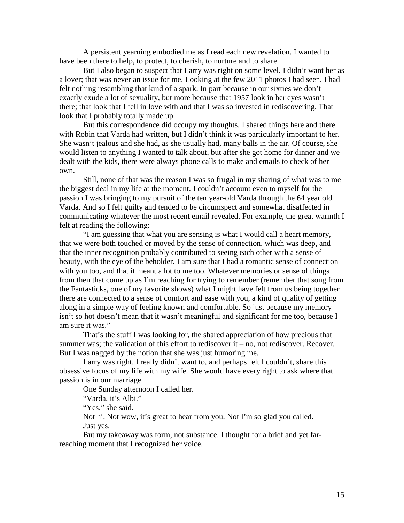A persistent yearning embodied me as I read each new revelation. I wanted to have been there to help, to protect, to cherish, to nurture and to share.

 But I also began to suspect that Larry was right on some level. I didn't want her as a lover; that was never an issue for me. Looking at the few 2011 photos I had seen, I had felt nothing resembling that kind of a spark. In part because in our sixties we don't exactly exude a lot of sexuality, but more because that 1957 look in her eyes wasn't there; that look that I fell in love with and that I was so invested in rediscovering. That look that I probably totally made up.

But this correspondence did occupy my thoughts. I shared things here and there with Robin that Varda had written, but I didn't think it was particularly important to her. She wasn't jealous and she had, as she usually had, many balls in the air. Of course, she would listen to anything I wanted to talk about, but after she got home for dinner and we dealt with the kids, there were always phone calls to make and emails to check of her own.

 Still, none of that was the reason I was so frugal in my sharing of what was to me the biggest deal in my life at the moment. I couldn't account even to myself for the passion I was bringing to my pursuit of the ten year-old Varda through the 64 year old Varda. And so I felt guilty and tended to be circumspect and somewhat disaffected in communicating whatever the most recent email revealed. For example, the great warmth I felt at reading the following:

 "I am guessing that what you are sensing is what I would call a heart memory, that we were both touched or moved by the sense of connection, which was deep, and that the inner recognition probably contributed to seeing each other with a sense of beauty, with the eye of the beholder. I am sure that I had a romantic sense of connection with you too, and that it meant a lot to me too. Whatever memories or sense of things from then that come up as I'm reaching for trying to remember (remember that song from the Fantasticks, one of my favorite shows) what I might have felt from us being together there are connected to a sense of comfort and ease with you, a kind of quality of getting along in a simple way of feeling known and comfortable. So just because my memory isn't so hot doesn't mean that it wasn't meaningful and significant for me too, because I am sure it was."

That's the stuff I was looking for, the shared appreciation of how precious that summer was; the validation of this effort to rediscover it – no, not rediscover. Recover. But I was nagged by the notion that she was just humoring me.

 Larry was right. I really didn't want to, and perhaps felt I couldn't, share this obsessive focus of my life with my wife. She would have every right to ask where that passion is in our marriage.

One Sunday afternoon I called her.

"Varda, it's Albi."

"Yes," she said.

Not hi. Not wow, it's great to hear from you. Not I'm so glad you called. Just yes.

But my takeaway was form, not substance. I thought for a brief and yet farreaching moment that I recognized her voice.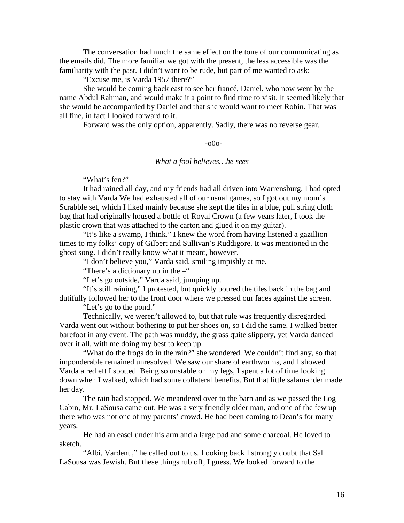The conversation had much the same effect on the tone of our communicating as the emails did. The more familiar we got with the present, the less accessible was the familiarity with the past. I didn't want to be rude, but part of me wanted to ask:

"Excuse me, is Varda 1957 there?"

She would be coming back east to see her fiancé, Daniel, who now went by the name Abdul Rahman, and would make it a point to find time to visit. It seemed likely that she would be accompanied by Daniel and that she would want to meet Robin. That was all fine, in fact I looked forward to it.

Forward was the only option, apparently. Sadly, there was no reverse gear.

#### -o0o-

# *What a fool believes…he sees*

"What's fen?"

It had rained all day, and my friends had all driven into Warrensburg. I had opted to stay with Varda We had exhausted all of our usual games, so I got out my mom's Scrabble set, which I liked mainly because she kept the tiles in a blue, pull string cloth bag that had originally housed a bottle of Royal Crown (a few years later, I took the plastic crown that was attached to the carton and glued it on my guitar).

"It's like a swamp, I think." I knew the word from having listened a gazillion times to my folks' copy of Gilbert and Sullivan's Ruddigore. It was mentioned in the ghost song. I didn't really know what it meant, however.

"I don't believe you," Varda said, smiling impishly at me.

"There's a dictionary up in the –"

"Let's go outside," Varda said, jumping up.

"It's still raining," I protested, but quickly poured the tiles back in the bag and dutifully followed her to the front door where we pressed our faces against the screen.

"Let's go to the pond."

Technically, we weren't allowed to, but that rule was frequently disregarded. Varda went out without bothering to put her shoes on, so I did the same. I walked better barefoot in any event. The path was muddy, the grass quite slippery, yet Varda danced over it all, with me doing my best to keep up.

"What do the frogs do in the rain?" she wondered. We couldn't find any, so that imponderable remained unresolved. We saw our share of earthworms, and I showed Varda a red eft I spotted. Being so unstable on my legs, I spent a lot of time looking down when I walked, which had some collateral benefits. But that little salamander made her day.

The rain had stopped. We meandered over to the barn and as we passed the Log Cabin, Mr. LaSousa came out. He was a very friendly older man, and one of the few up there who was not one of my parents' crowd. He had been coming to Dean's for many years.

He had an easel under his arm and a large pad and some charcoal. He loved to sketch.

"Albi, Vardenu," he called out to us. Looking back I strongly doubt that Sal LaSousa was Jewish. But these things rub off, I guess. We looked forward to the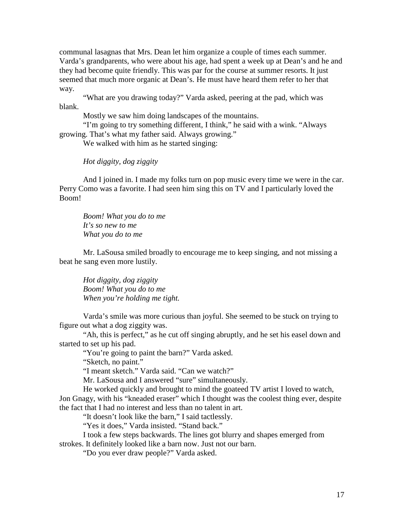communal lasagnas that Mrs. Dean let him organize a couple of times each summer. Varda's grandparents, who were about his age, had spent a week up at Dean's and he and they had become quite friendly. This was par for the course at summer resorts. It just seemed that much more organic at Dean's. He must have heard them refer to her that way.

"What are you drawing today?" Varda asked, peering at the pad, which was blank.

Mostly we saw him doing landscapes of the mountains.

"I'm going to try something different, I think," he said with a wink. "Always growing. That's what my father said. Always growing."

We walked with him as he started singing:

*Hot diggity, dog ziggity* 

And I joined in. I made my folks turn on pop music every time we were in the car. Perry Como was a favorite. I had seen him sing this on TV and I particularly loved the Boom!

*Boom! What you do to me It's so new to me What you do to me* 

Mr. LaSousa smiled broadly to encourage me to keep singing, and not missing a beat he sang even more lustily.

*Hot diggity, dog ziggity Boom! What you do to me When you're holding me tight.* 

Varda's smile was more curious than joyful. She seemed to be stuck on trying to figure out what a dog ziggity was.

"Ah, this is perfect," as he cut off singing abruptly, and he set his easel down and started to set up his pad.

"You're going to paint the barn?" Varda asked.

"Sketch, no paint."

"I meant sketch." Varda said. "Can we watch?"

Mr. LaSousa and I answered "sure" simultaneously.

He worked quickly and brought to mind the goateed TV artist I loved to watch,

Jon Gnagy, with his "kneaded eraser" which I thought was the coolest thing ever, despite the fact that I had no interest and less than no talent in art.

"It doesn't look like the barn," I said tactlessly.

"Yes it does," Varda insisted. "Stand back."

I took a few steps backwards. The lines got blurry and shapes emerged from strokes. It definitely looked like a barn now. Just not our barn.

"Do you ever draw people?" Varda asked.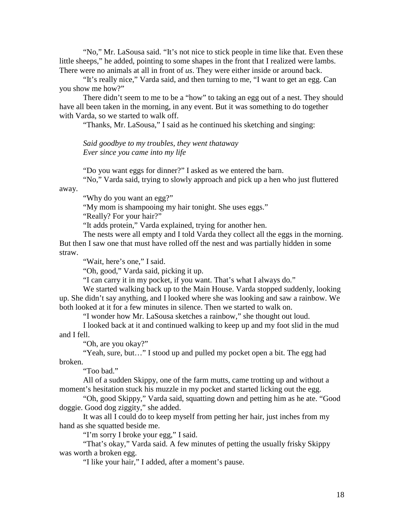"No," Mr. LaSousa said. "It's not nice to stick people in time like that. Even these little sheeps," he added, pointing to some shapes in the front that I realized were lambs. There were no animals at all in front of *us*. They were either inside or around back.

"It's really nice," Varda said, and then turning to me, "I want to get an egg. Can you show me how?"

There didn't seem to me to be a "how" to taking an egg out of a nest. They should have all been taken in the morning, in any event. But it was something to do together with Varda, so we started to walk off.

"Thanks, Mr. LaSousa," I said as he continued his sketching and singing:

*Said goodbye to my troubles, they went thataway Ever since you came into my life* 

"Do you want eggs for dinner?" I asked as we entered the barn.

"No," Varda said, trying to slowly approach and pick up a hen who just fluttered

away.

"Why do you want an egg?"

"My mom is shampooing my hair tonight. She uses eggs."

"Really? For your hair?"

"It adds protein," Varda explained, trying for another hen.

The nests were all empty and I told Varda they collect all the eggs in the morning. But then I saw one that must have rolled off the nest and was partially hidden in some straw.

"Wait, here's one," I said.

"Oh, good," Varda said, picking it up.

"I can carry it in my pocket, if you want. That's what I always do."

We started walking back up to the Main House. Varda stopped suddenly, looking up. She didn't say anything, and I looked where she was looking and saw a rainbow. We both looked at it for a few minutes in silence. Then we started to walk on.

"I wonder how Mr. LaSousa sketches a rainbow," she thought out loud.

I looked back at it and continued walking to keep up and my foot slid in the mud and I fell.

"Oh, are you okay?"

"Yeah, sure, but…" I stood up and pulled my pocket open a bit. The egg had broken.

"Too bad."

All of a sudden Skippy, one of the farm mutts, came trotting up and without a moment's hesitation stuck his muzzle in my pocket and started licking out the egg.

"Oh, good Skippy," Varda said, squatting down and petting him as he ate. "Good doggie. Good dog ziggity," she added.

It was all I could do to keep myself from petting her hair, just inches from my hand as she squatted beside me.

"I'm sorry I broke your egg," I said.

"That's okay," Varda said. A few minutes of petting the usually frisky Skippy was worth a broken egg.

"I like your hair," I added, after a moment's pause.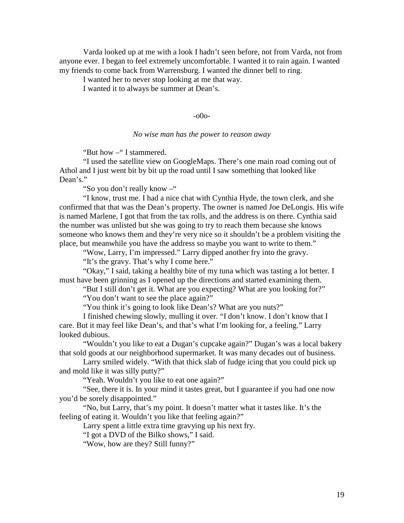Varda looked up at me with a look I hadn't seen before, not from Varda, not from anyone ever. I began to feel extremely uncomfortable. I wanted it to rain again. I wanted my friends to come back from Warrensburg. I wanted the dinner bell to ring.

I wanted her to never stop looking at me that way.

I wanted it to always be summer at Dean's.

-o0o-

# *No wise man has the power to reason away*

"But how –" I stammered.

 "I used the satellite view on GoogleMaps. There's one main road coming out of Athol and I just went bit by bit up the road until I saw something that looked like Dean's."

"So you don't really know –"

 "I know, trust me. I had a nice chat with Cynthia Hyde, the town clerk, and she confirmed that that was the Dean's property. The owner is named Joe DeLongis. His wife is named Marlene, I got that from the tax rolls, and the address is on there. Cynthia said the number was unlisted but she was going to try to reach them because she knows someone who knows them and they're very nice so it shouldn't be a problem visiting the place, but meanwhile you have the address so maybe you want to write to them."

"Wow, Larry, I'm impressed." Larry dipped another fry into the gravy.

"It's the gravy. That's why I come here."

 "Okay," I said, taking a healthy bite of my tuna which was tasting a lot better. I must have been grinning as I opened up the directions and started examining them.

"But I still don't get it. What are you expecting? What are you looking for?"

"You don't want to see the place again?"

"You think it's going to look like Dean's? What are you nuts?"

 I finished chewing slowly, mulling it over. "I don't know. I don't know that I care. But it may feel like Dean's, and that's what I'm looking for, a feeling." Larry looked dubious.

"Wouldn't you like to eat a Dugan's cupcake again?" Dugan's was a local bakery that sold goods at our neighborhood supermarket. It was many decades out of business.

 Larry smiled widely. "With that thick slab of fudge icing that you could pick up and mold like it was silly putty?"

"Yeah. Wouldn't you like to eat one again?"

 "See, there it is. In your mind it tastes great, but I guarantee if you had one now you'd be sorely disappointed."

 "No, but Larry, that's my point. It doesn't matter what it tastes like. It's the feeling of eating it. Wouldn't you like that feeling again?"

Larry spent a little extra time gravying up his next fry.

"I got a DVD of the Bilko shows," I said.

"Wow, how are they? Still funny?"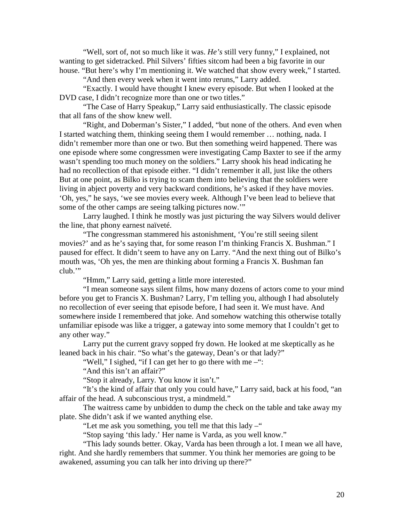"Well, sort of, not so much like it was. *He's* still very funny," I explained, not wanting to get sidetracked. Phil Silvers' fifties sitcom had been a big favorite in our house. "But here's why I'm mentioning it. We watched that show every week," I started.

"And then every week when it went into reruns," Larry added.

 "Exactly. I would have thought I knew every episode. But when I looked at the DVD case, I didn't recognize more than one or two titles."

 "The Case of Harry Speakup," Larry said enthusiastically. The classic episode that all fans of the show knew well.

 "Right, and Doberman's Sister," I added, "but none of the others. And even when I started watching them, thinking seeing them I would remember … nothing, nada. I didn't remember more than one or two. But then something weird happened. There was one episode where some congressmen were investigating Camp Baxter to see if the army wasn't spending too much money on the soldiers." Larry shook his head indicating he had no recollection of that episode either. "I didn't remember it all, just like the others But at one point, as Bilko is trying to scam them into believing that the soldiers were living in abject poverty and very backward conditions, he's asked if they have movies. 'Oh, yes," he says, 'we see movies every week. Although I've been lead to believe that some of the other camps are seeing talking pictures now.'"

 Larry laughed. I think he mostly was just picturing the way Silvers would deliver the line, that phony earnest naïveté.

 "The congressman stammered his astonishment, 'You're still seeing silent movies?' and as he's saying that, for some reason I'm thinking Francis X. Bushman." I paused for effect. It didn't seem to have any on Larry. "And the next thing out of Bilko's mouth was, 'Oh yes, the men are thinking about forming a Francis X. Bushman fan club."

"Hmm," Larry said, getting a little more interested.

 "I mean someone says silent films, how many dozens of actors come to your mind before you get to Francis X. Bushman? Larry, I'm telling you, although I had absolutely no recollection of ever seeing that episode before, I had seen it. We must have. And somewhere inside I remembered that joke. And somehow watching this otherwise totally unfamiliar episode was like a trigger, a gateway into some memory that I couldn't get to any other way."

 Larry put the current gravy sopped fry down. He looked at me skeptically as he leaned back in his chair. "So what's the gateway, Dean's or that lady?"

"Well," I sighed, "if I can get her to go there with me –":

"And this isn't an affair?"

"Stop it already, Larry. You know it isn't."

 "It's the kind of affair that only you could have," Larry said, back at his food, "an affair of the head. A subconscious tryst, a mindmeld."

 The waitress came by unbidden to dump the check on the table and take away my plate. She didn't ask if we wanted anything else.

"Let me ask you something, you tell me that this lady –"

"Stop saying 'this lady.' Her name is Varda, as you well know."

 "This lady sounds better. Okay, Varda has been through a lot. I mean we all have, right. And she hardly remembers that summer. You think her memories are going to be awakened, assuming you can talk her into driving up there?"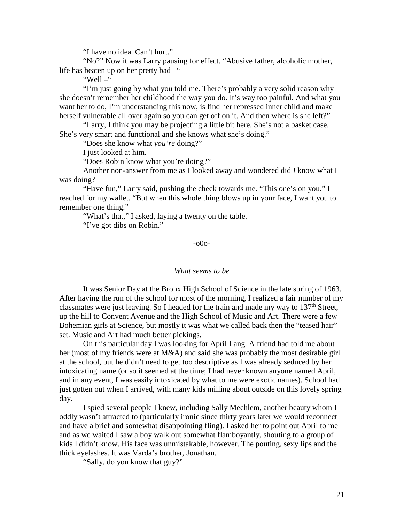"I have no idea. Can't hurt."

 "No?" Now it was Larry pausing for effect. "Abusive father, alcoholic mother, life has beaten up on her pretty bad –"

"Well –"

 "I'm just going by what you told me. There's probably a very solid reason why she doesn't remember her childhood the way you do. It's way too painful. And what you want her to do, I'm understanding this now, is find her repressed inner child and make herself vulnerable all over again so you can get off on it. And then where is she left?"

 "Larry, I think you may be projecting a little bit here. She's not a basket case. She's very smart and functional and she knows what she's doing."

"Does she know what *you're* doing?"

I just looked at him.

"Does Robin know what you're doing?"

Another non-answer from me as I looked away and wondered did *I* know what I was doing?

 "Have fun," Larry said, pushing the check towards me. "This one's on you." I reached for my wallet. "But when this whole thing blows up in your face, I want you to remember one thing."

"What's that," I asked, laying a twenty on the table. "I've got dibs on Robin."

-o0o-

#### *What seems to be*

 It was Senior Day at the Bronx High School of Science in the late spring of 1963. After having the run of the school for most of the morning, I realized a fair number of my classmates were just leaving. So I headed for the train and made my way to  $137<sup>th</sup>$  Street, up the hill to Convent Avenue and the High School of Music and Art. There were a few Bohemian girls at Science, but mostly it was what we called back then the "teased hair" set. Music and Art had much better pickings.

 On this particular day I was looking for April Lang. A friend had told me about her (most of my friends were at M&A) and said she was probably the most desirable girl at the school, but he didn't need to get too descriptive as I was already seduced by her intoxicating name (or so it seemed at the time; I had never known anyone named April, and in any event, I was easily intoxicated by what to me were exotic names). School had just gotten out when I arrived, with many kids milling about outside on this lovely spring day.

 I spied several people I knew, including Sally Mechlem, another beauty whom I oddly wasn't attracted to (particularly ironic since thirty years later we would reconnect and have a brief and somewhat disappointing fling). I asked her to point out April to me and as we waited I saw a boy walk out somewhat flamboyantly, shouting to a group of kids I didn't know. His face was unmistakable, however. The pouting, sexy lips and the thick eyelashes. It was Varda's brother, Jonathan.

"Sally, do you know that guy?"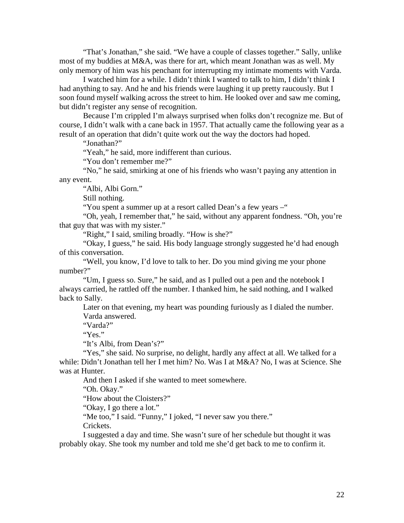"That's Jonathan," she said. "We have a couple of classes together." Sally, unlike most of my buddies at M&A, was there for art, which meant Jonathan was as well. My only memory of him was his penchant for interrupting my intimate moments with Varda.

 I watched him for a while. I didn't think I wanted to talk to him, I didn't think I had anything to say. And he and his friends were laughing it up pretty raucously. But I soon found myself walking across the street to him. He looked over and saw me coming, but didn't register any sense of recognition.

 Because I'm crippled I'm always surprised when folks don't recognize me. But of course, I didn't walk with a cane back in 1957. That actually came the following year as a result of an operation that didn't quite work out the way the doctors had hoped.

"Jonathan?"

"Yeah," he said, more indifferent than curious.

"You don't remember me?"

 "No," he said, smirking at one of his friends who wasn't paying any attention in any event.

"Albi, Albi Gorn."

Still nothing.

"You spent a summer up at a resort called Dean's a few years –"

 "Oh, yeah, I remember that," he said, without any apparent fondness. "Oh, you're that guy that was with my sister."

"Right," I said, smiling broadly. "How is she?"

 "Okay, I guess," he said. His body language strongly suggested he'd had enough of this conversation.

 "Well, you know, I'd love to talk to her. Do you mind giving me your phone number?"

 "Um, I guess so. Sure," he said, and as I pulled out a pen and the notebook I always carried, he rattled off the number. I thanked him, he said nothing, and I walked back to Sally.

Later on that evening, my heart was pounding furiously as I dialed the number. Varda answered.

"Varda?"

"Yes."

"It's Albi, from Dean's?"

"Yes," she said. No surprise, no delight, hardly any affect at all. We talked for a while: Didn't Jonathan tell her I met him? No. Was I at M&A? No, I was at Science. She was at Hunter.

And then I asked if she wanted to meet somewhere.

"Oh. Okay."

"How about the Cloisters?"

"Okay, I go there a lot."

"Me too," I said. "Funny," I joked, "I never saw you there."

Crickets.

 I suggested a day and time. She wasn't sure of her schedule but thought it was probably okay. She took my number and told me she'd get back to me to confirm it.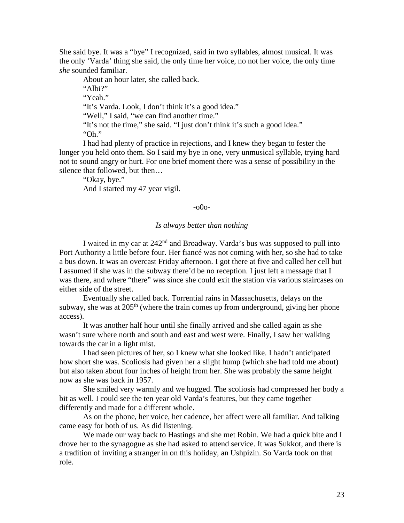She said bye. It was a "bye" I recognized, said in two syllables, almost musical. It was the only 'Varda' thing she said, the only time her voice, no not her voice, the only time *she* sounded familiar.

About an hour later, she called back.

 "Albi?" "Yeah." "It's Varda. Look, I don't think it's a good idea." "Well," I said, "we can find another time." "It's not the time," she said. "I just don't think it's such a good idea." "Oh."

 I had had plenty of practice in rejections, and I knew they began to fester the longer you held onto them. So I said my bye in one, very unmusical syllable, trying hard not to sound angry or hurt. For one brief moment there was a sense of possibility in the silence that followed, but then…

"Okay, bye."

And I started my 47 year vigil.

# -o0o-

# *Is always better than nothing*

I waited in my car at 242<sup>nd</sup> and Broadway. Varda's bus was supposed to pull into Port Authority a little before four. Her fiancé was not coming with her, so she had to take a bus down. It was an overcast Friday afternoon. I got there at five and called her cell but I assumed if she was in the subway there'd be no reception. I just left a message that I was there, and where "there" was since she could exit the station via various staircases on either side of the street.

 Eventually she called back. Torrential rains in Massachusetts, delays on the subway, she was at  $205<sup>th</sup>$  (where the train comes up from underground, giving her phone access).

 It was another half hour until she finally arrived and she called again as she wasn't sure where north and south and east and west were. Finally, I saw her walking towards the car in a light mist.

 I had seen pictures of her, so I knew what she looked like. I hadn't anticipated how short she was. Scoliosis had given her a slight hump (which she had told me about) but also taken about four inches of height from her. She was probably the same height now as she was back in 1957.

 She smiled very warmly and we hugged. The scoliosis had compressed her body a bit as well. I could see the ten year old Varda's features, but they came together differently and made for a different whole.

 As on the phone, her voice, her cadence, her affect were all familiar. And talking came easy for both of us. As did listening.

 We made our way back to Hastings and she met Robin. We had a quick bite and I drove her to the synagogue as she had asked to attend service. It was Sukkot, and there is a tradition of inviting a stranger in on this holiday, an Ushpizin. So Varda took on that role.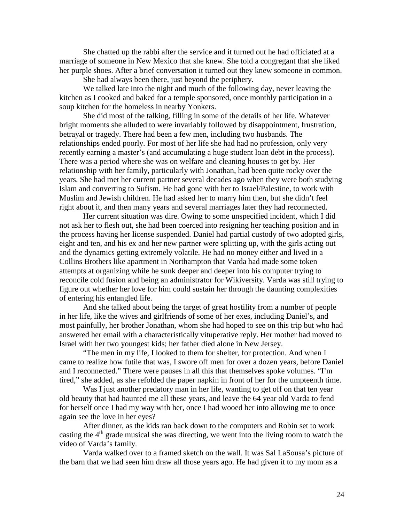She chatted up the rabbi after the service and it turned out he had officiated at a marriage of someone in New Mexico that she knew. She told a congregant that she liked her purple shoes. After a brief conversation it turned out they knew someone in common.

She had always been there, just beyond the periphery.

 We talked late into the night and much of the following day, never leaving the kitchen as I cooked and baked for a temple sponsored, once monthly participation in a soup kitchen for the homeless in nearby Yonkers.

 She did most of the talking, filling in some of the details of her life. Whatever bright moments she alluded to were invariably followed by disappointment, frustration, betrayal or tragedy. There had been a few men, including two husbands. The relationships ended poorly. For most of her life she had had no profession, only very recently earning a master's (and accumulating a huge student loan debt in the process). There was a period where she was on welfare and cleaning houses to get by. Her relationship with her family, particularly with Jonathan, had been quite rocky over the years. She had met her current partner several decades ago when they were both studying Islam and converting to Sufism. He had gone with her to Israel/Palestine, to work with Muslim and Jewish children. He had asked her to marry him then, but she didn't feel right about it, and then many years and several marriages later they had reconnected.

 Her current situation was dire. Owing to some unspecified incident, which I did not ask her to flesh out, she had been coerced into resigning her teaching position and in the process having her license suspended. Daniel had partial custody of two adopted girls, eight and ten, and his ex and her new partner were splitting up, with the girls acting out and the dynamics getting extremely volatile. He had no money either and lived in a Collins Brothers like apartment in Northampton that Varda had made some token attempts at organizing while he sunk deeper and deeper into his computer trying to reconcile cold fusion and being an administrator for Wikiversity. Varda was still trying to figure out whether her love for him could sustain her through the daunting complexities of entering his entangled life.

 And she talked about being the target of great hostility from a number of people in her life, like the wives and girlfriends of some of her exes, including Daniel's, and most painfully, her brother Jonathan, whom she had hoped to see on this trip but who had answered her email with a characteristically vituperative reply. Her mother had moved to Israel with her two youngest kids; her father died alone in New Jersey.

 "The men in my life, I looked to them for shelter, for protection. And when I came to realize how futile that was, I swore off men for over a dozen years, before Daniel and I reconnected." There were pauses in all this that themselves spoke volumes. "I'm tired," she added, as she refolded the paper napkin in front of her for the umpteenth time.

Was I just another predatory man in her life, wanting to get off on that ten year old beauty that had haunted me all these years, and leave the 64 year old Varda to fend for herself once I had my way with her, once I had wooed her into allowing me to once again see the love in her eyes?

 After dinner, as the kids ran back down to the computers and Robin set to work casting the 4<sup>th</sup> grade musical she was directing, we went into the living room to watch the video of Varda's family.

 Varda walked over to a framed sketch on the wall. It was Sal LaSousa's picture of the barn that we had seen him draw all those years ago. He had given it to my mom as a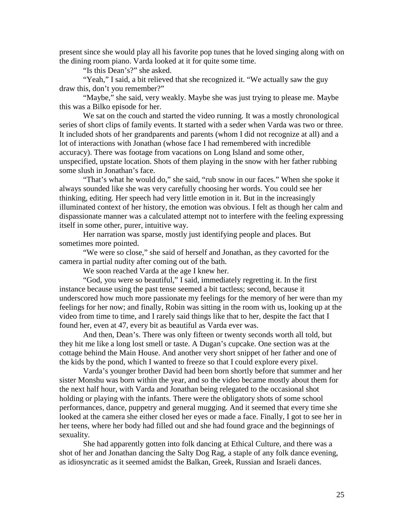present since she would play all his favorite pop tunes that he loved singing along with on the dining room piano. Varda looked at it for quite some time.

"Is this Dean's?" she asked.

"Yeah," I said, a bit relieved that she recognized it. "We actually saw the guy draw this, don't you remember?"

 "Maybe," she said, very weakly. Maybe she was just trying to please me. Maybe this was a Bilko episode for her.

We sat on the couch and started the video running. It was a mostly chronological series of short clips of family events. It started with a seder when Varda was two or three. It included shots of her grandparents and parents (whom I did not recognize at all) and a lot of interactions with Jonathan (whose face I had remembered with incredible accuracy). There was footage from vacations on Long Island and some other, unspecified, upstate location. Shots of them playing in the snow with her father rubbing some slush in Jonathan's face.

 "That's what he would do," she said, "rub snow in our faces." When she spoke it always sounded like she was very carefully choosing her words. You could see her thinking, editing. Her speech had very little emotion in it. But in the increasingly illuminated context of her history, the emotion was obvious. I felt as though her calm and dispassionate manner was a calculated attempt not to interfere with the feeling expressing itself in some other, purer, intuitive way.

 Her narration was sparse, mostly just identifying people and places. But sometimes more pointed.

 "We were so close," she said of herself and Jonathan, as they cavorted for the camera in partial nudity after coming out of the bath.

We soon reached Varda at the age I knew her.

 "God, you were so beautiful," I said, immediately regretting it. In the first instance because using the past tense seemed a bit tactless; second, because it underscored how much more passionate my feelings for the memory of her were than my feelings for her now; and finally, Robin was sitting in the room with us, looking up at the video from time to time, and I rarely said things like that to her, despite the fact that I found her, even at 47, every bit as beautiful as Varda ever was.

 And then, Dean's. There was only fifteen or twenty seconds worth all told, but they hit me like a long lost smell or taste. A Dugan's cupcake. One section was at the cottage behind the Main House. And another very short snippet of her father and one of the kids by the pond, which I wanted to freeze so that I could explore every pixel.

 Varda's younger brother David had been born shortly before that summer and her sister Monshu was born within the year, and so the video became mostly about them for the next half hour, with Varda and Jonathan being relegated to the occasional shot holding or playing with the infants. There were the obligatory shots of some school performances, dance, puppetry and general mugging. And it seemed that every time she looked at the camera she either closed her eyes or made a face. Finally, I got to see her in her teens, where her body had filled out and she had found grace and the beginnings of sexuality.

 She had apparently gotten into folk dancing at Ethical Culture, and there was a shot of her and Jonathan dancing the Salty Dog Rag, a staple of any folk dance evening, as idiosyncratic as it seemed amidst the Balkan, Greek, Russian and Israeli dances.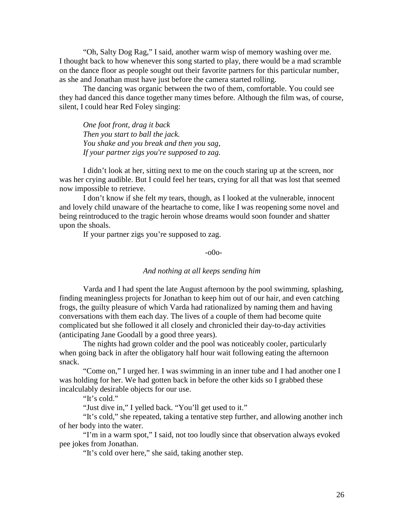"Oh, Salty Dog Rag," I said, another warm wisp of memory washing over me. I thought back to how whenever this song started to play, there would be a mad scramble on the dance floor as people sought out their favorite partners for this particular number, as she and Jonathan must have just before the camera started rolling.

 The dancing was organic between the two of them, comfortable. You could see they had danced this dance together many times before. Although the film was, of course, silent, I could hear Red Foley singing:

*One foot front, drag it back Then you start to ball the jack. You shake and you break and then you sag, If your partner zigs you're supposed to zag.* 

I didn't look at her, sitting next to me on the couch staring up at the screen, nor was her crying audible. But I could feel her tears, crying for all that was lost that seemed now impossible to retrieve.

I don't know if she felt *my* tears, though, as I looked at the vulnerable, innocent and lovely child unaware of the heartache to come, like I was reopening some novel and being reintroduced to the tragic heroin whose dreams would soon founder and shatter upon the shoals.

If your partner zigs you're supposed to zag.

-o0o-

#### *And nothing at all keeps sending him*

Varda and I had spent the late August afternoon by the pool swimming, splashing, finding meaningless projects for Jonathan to keep him out of our hair, and even catching frogs, the guilty pleasure of which Varda had rationalized by naming them and having conversations with them each day. The lives of a couple of them had become quite complicated but she followed it all closely and chronicled their day-to-day activities (anticipating Jane Goodall by a good three years).

The nights had grown colder and the pool was noticeably cooler, particularly when going back in after the obligatory half hour wait following eating the afternoon snack.

"Come on," I urged her. I was swimming in an inner tube and I had another one I was holding for her. We had gotten back in before the other kids so I grabbed these incalculably desirable objects for our use.

"It's cold."

"Just dive in," I yelled back. "You'll get used to it."

"It's cold," she repeated, taking a tentative step further, and allowing another inch of her body into the water.

"I'm in a warm spot," I said, not too loudly since that observation always evoked pee jokes from Jonathan.

"It's cold over here," she said, taking another step.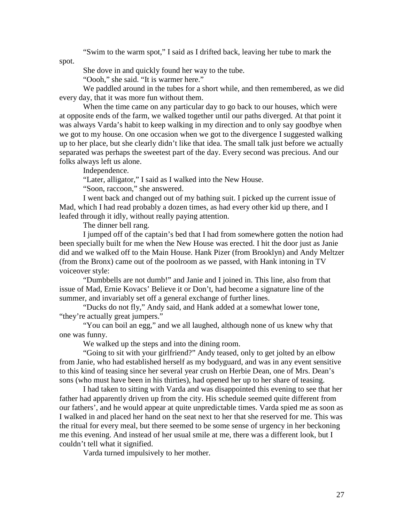"Swim to the warm spot," I said as I drifted back, leaving her tube to mark the

spot.

She dove in and quickly found her way to the tube.

"Oooh," she said. "It is warmer here."

We paddled around in the tubes for a short while, and then remembered, as we did every day, that it was more fun without them.

When the time came on any particular day to go back to our houses, which were at opposite ends of the farm, we walked together until our paths diverged. At that point it was always Varda's habit to keep walking in my direction and to only say goodbye when we got to my house. On one occasion when we got to the divergence I suggested walking up to her place, but she clearly didn't like that idea. The small talk just before we actually separated was perhaps the sweetest part of the day. Every second was precious. And our folks always left us alone.

Independence.

"Later, alligator," I said as I walked into the New House.

"Soon, raccoon," she answered.

I went back and changed out of my bathing suit. I picked up the current issue of Mad, which I had read probably a dozen times, as had every other kid up there, and I leafed through it idly, without really paying attention.

The dinner bell rang.

I jumped off of the captain's bed that I had from somewhere gotten the notion had been specially built for me when the New House was erected. I hit the door just as Janie did and we walked off to the Main House. Hank Pizer (from Brooklyn) and Andy Meltzer (from the Bronx) came out of the poolroom as we passed, with Hank intoning in TV voiceover style:

"Dumbbells are not dumb!" and Janie and I joined in. This line, also from that issue of Mad, Ernie Kovacs' Believe it or Don't, had become a signature line of the summer, and invariably set off a general exchange of further lines.

"Ducks do not fly," Andy said, and Hank added at a somewhat lower tone, "they're actually great jumpers."

"You can boil an egg," and we all laughed, although none of us knew why that one was funny.

We walked up the steps and into the dining room.

"Going to sit with your girlfriend?" Andy teased, only to get jolted by an elbow from Janie, who had established herself as my bodyguard, and was in any event sensitive to this kind of teasing since her several year crush on Herbie Dean, one of Mrs. Dean's sons (who must have been in his thirties), had opened her up to her share of teasing.

I had taken to sitting with Varda and was disappointed this evening to see that her father had apparently driven up from the city. His schedule seemed quite different from our fathers', and he would appear at quite unpredictable times. Varda spied me as soon as I walked in and placed her hand on the seat next to her that she reserved for me. This was the ritual for every meal, but there seemed to be some sense of urgency in her beckoning me this evening. And instead of her usual smile at me, there was a different look, but I couldn't tell what it signified.

Varda turned impulsively to her mother.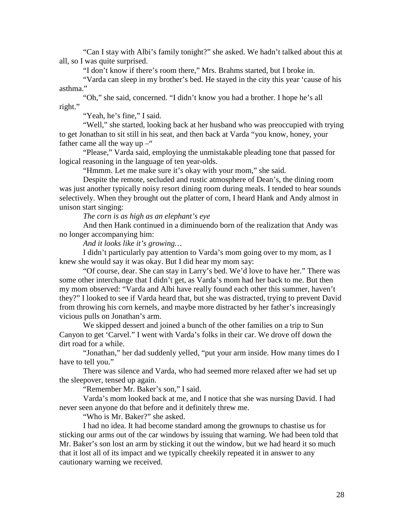"Can I stay with Albi's family tonight?" she asked. We hadn't talked about this at all, so I was quite surprised.

"I don't know if there's room there," Mrs. Brahms started, but I broke in.

"Varda can sleep in my brother's bed. He stayed in the city this year 'cause of his asthma."

"Oh," she said, concerned. "I didn't know you had a brother. I hope he's all right."

"Yeah, he's fine," I said.

"Well," she started, looking back at her husband who was preoccupied with trying to get Jonathan to sit still in his seat, and then back at Varda "you know, honey, your father came all the way up  $-\tilde{ }$ 

"Please," Varda said, employing the unmistakable pleading tone that passed for logical reasoning in the language of ten year-olds.

"Hmmm. Let me make sure it's okay with your mom," she said.

Despite the remote, secluded and rustic atmosphere of Dean's, the dining room was just another typically noisy resort dining room during meals. I tended to hear sounds selectively. When they brought out the platter of corn, I heard Hank and Andy almost in unison start singing:

*The corn is as high as an elephant's eye* 

And then Hank continued in a diminuendo born of the realization that Andy was no longer accompanying him:

*And it looks like it's growing…* 

I didn't particularly pay attention to Varda's mom going over to my mom, as I knew she would say it was okay. But I did hear my mom say:

"Of course, dear. She can stay in Larry's bed. We'd love to have her." There was some other interchange that I didn't get, as Varda's mom had her back to me. But then my mom observed: "Varda and Albi have really found each other this summer, haven't they?" I looked to see if Varda heard that, but she was distracted, trying to prevent David from throwing his corn kernels, and maybe more distracted by her father's increasingly vicious pulls on Jonathan's arm.

We skipped dessert and joined a bunch of the other families on a trip to Sun Canyon to get 'Carvel." I went with Varda's folks in their car. We drove off down the dirt road for a while.

"Jonathan," her dad suddenly yelled, "put your arm inside. How many times do I have to tell you."

There was silence and Varda, who had seemed more relaxed after we had set up the sleepover, tensed up again.

"Remember Mr. Baker's son," I said.

Varda's mom looked back at me, and I notice that she was nursing David. I had never seen anyone do that before and it definitely threw me.

"Who is Mr. Baker?" she asked.

I had no idea. It had become standard among the grownups to chastise us for sticking our arms out of the car windows by issuing that warning. We had been told that Mr. Baker's son lost an arm by sticking it out the window, but we had heard it so much that it lost all of its impact and we typically cheekily repeated it in answer to any cautionary warning we received.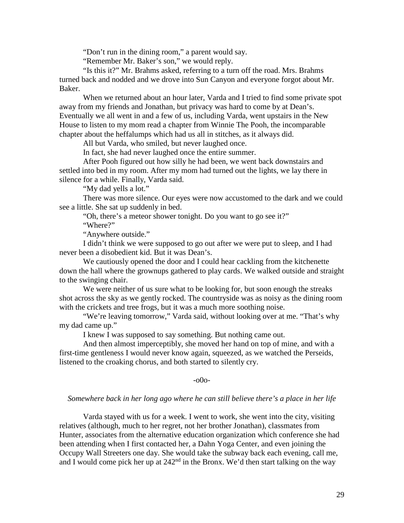"Don't run in the dining room," a parent would say.

"Remember Mr. Baker's son," we would reply.

"Is this it?" Mr. Brahms asked, referring to a turn off the road. Mrs. Brahms turned back and nodded and we drove into Sun Canyon and everyone forgot about Mr. Baker.

 When we returned about an hour later, Varda and I tried to find some private spot away from my friends and Jonathan, but privacy was hard to come by at Dean's. Eventually we all went in and a few of us, including Varda, went upstairs in the New House to listen to my mom read a chapter from Winnie The Pooh, the incomparable chapter about the heffalumps which had us all in stitches, as it always did.

All but Varda, who smiled, but never laughed once.

In fact, she had never laughed once the entire summer.

 After Pooh figured out how silly he had been, we went back downstairs and settled into bed in my room. After my mom had turned out the lights, we lay there in silence for a while. Finally, Varda said.

"My dad yells a lot."

 There was more silence. Our eyes were now accustomed to the dark and we could see a little. She sat up suddenly in bed.

"Oh, there's a meteor shower tonight. Do you want to go see it?"

"Where?"

"Anywhere outside."

 I didn't think we were supposed to go out after we were put to sleep, and I had never been a disobedient kid. But it was Dean's.

 We cautiously opened the door and I could hear cackling from the kitchenette down the hall where the grownups gathered to play cards. We walked outside and straight to the swinging chair.

We were neither of us sure what to be looking for, but soon enough the streaks shot across the sky as we gently rocked. The countryside was as noisy as the dining room with the crickets and tree frogs, but it was a much more soothing noise.

"We're leaving tomorrow," Varda said, without looking over at me. "That's why my dad came up."

I knew I was supposed to say something. But nothing came out.

 And then almost imperceptibly, she moved her hand on top of mine, and with a first-time gentleness I would never know again, squeezed, as we watched the Perseids, listened to the croaking chorus, and both started to silently cry.

-o0o-

#### *Somewhere back in her long ago where he can still believe there's a place in her life*

 Varda stayed with us for a week. I went to work, she went into the city, visiting relatives (although, much to her regret, not her brother Jonathan), classmates from Hunter, associates from the alternative education organization which conference she had been attending when I first contacted her, a Dahn Yoga Center, and even joining the Occupy Wall Streeters one day. She would take the subway back each evening, call me, and I would come pick her up at  $242<sup>nd</sup>$  in the Bronx. We'd then start talking on the way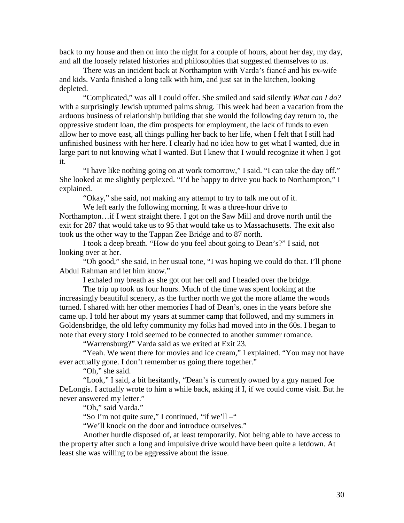back to my house and then on into the night for a couple of hours, about her day, my day, and all the loosely related histories and philosophies that suggested themselves to us.

 There was an incident back at Northampton with Varda's fiancé and his ex-wife and kids. Varda finished a long talk with him, and just sat in the kitchen, looking depleted.

 "Complicated," was all I could offer. She smiled and said silently *What can I do?* with a surprisingly Jewish upturned palms shrug. This week had been a vacation from the arduous business of relationship building that she would the following day return to, the oppressive student loan, the dim prospects for employment, the lack of funds to even allow her to move east, all things pulling her back to her life, when I felt that I still had unfinished business with her here. I clearly had no idea how to get what I wanted, due in large part to not knowing what I wanted. But I knew that I would recognize it when I got it.

 "I have like nothing going on at work tomorrow," I said. "I can take the day off." She looked at me slightly perplexed. "I'd be happy to drive you back to Northampton," I explained.

"Okay," she said, not making any attempt to try to talk me out of it.

We left early the following morning. It was a three-hour drive to

Northampton…if I went straight there. I got on the Saw Mill and drove north until the exit for 287 that would take us to 95 that would take us to Massachusetts. The exit also took us the other way to the Tappan Zee Bridge and to 87 north.

 I took a deep breath. "How do you feel about going to Dean's?" I said, not looking over at her.

 "Oh good," she said, in her usual tone, "I was hoping we could do that. I'll phone Abdul Rahman and let him know."

I exhaled my breath as she got out her cell and I headed over the bridge.

 The trip up took us four hours. Much of the time was spent looking at the increasingly beautiful scenery, as the further north we got the more aflame the woods turned. I shared with her other memories I had of Dean's, ones in the years before she came up. I told her about my years at summer camp that followed, and my summers in Goldensbridge, the old lefty community my folks had moved into in the 60s. I began to note that every story I told seemed to be connected to another summer romance.

"Warrensburg?" Varda said as we exited at Exit 23.

"Yeah. We went there for movies and ice cream," I explained. "You may not have ever actually gone. I don't remember us going there together."

"Oh," she said.

 "Look," I said, a bit hesitantly, "Dean's is currently owned by a guy named Joe DeLongis. I actually wrote to him a while back, asking if I, if we could come visit. But he never answered my letter."

"Oh," said Varda."

"So I'm not quite sure," I continued, "if we'll  $-$ "

"We'll knock on the door and introduce ourselves."

 Another hurdle disposed of, at least temporarily. Not being able to have access to the property after such a long and impulsive drive would have been quite a letdown. At least she was willing to be aggressive about the issue.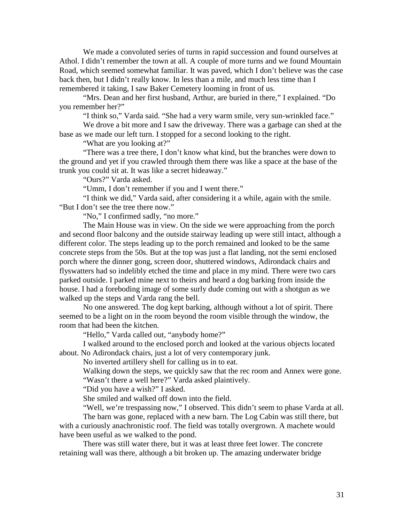We made a convoluted series of turns in rapid succession and found ourselves at Athol. I didn't remember the town at all. A couple of more turns and we found Mountain Road, which seemed somewhat familiar. It was paved, which I don't believe was the case back then, but I didn't really know. In less than a mile, and much less time than I remembered it taking, I saw Baker Cemetery looming in front of us.

 "Mrs. Dean and her first husband, Arthur, are buried in there," I explained. "Do you remember her?"

"I think so," Varda said. "She had a very warm smile, very sun-wrinkled face."

 We drove a bit more and I saw the driveway. There was a garbage can shed at the base as we made our left turn. I stopped for a second looking to the right.

"What are you looking at?"

 "There was a tree there, I don't know what kind, but the branches were down to the ground and yet if you crawled through them there was like a space at the base of the trunk you could sit at. It was like a secret hideaway."

"Ours?" Varda asked.

"Umm, I don't remember if you and I went there."

 "I think we did," Varda said, after considering it a while, again with the smile. "But I don't see the tree there now."

"No," I confirmed sadly, "no more."

 The Main House was in view. On the side we were approaching from the porch and second floor balcony and the outside stairway leading up were still intact, although a different color. The steps leading up to the porch remained and looked to be the same concrete steps from the 50s. But at the top was just a flat landing, not the semi enclosed porch where the dinner gong, screen door, shuttered windows, Adirondack chairs and flyswatters had so indelibly etched the time and place in my mind. There were two cars parked outside. I parked mine next to theirs and heard a dog barking from inside the house. I had a foreboding image of some surly dude coming out with a shotgun as we walked up the steps and Varda rang the bell.

 No one answered. The dog kept barking, although without a lot of spirit. There seemed to be a light on in the room beyond the room visible through the window, the room that had been the kitchen.

"Hello," Varda called out, "anybody home?"

 I walked around to the enclosed porch and looked at the various objects located about. No Adirondack chairs, just a lot of very contemporary junk.

No inverted artillery shell for calling us in to eat.

 Walking down the steps, we quickly saw that the rec room and Annex were gone. "Wasn't there a well here?" Varda asked plaintively.

"Did you have a wish?" I asked.

She smiled and walked off down into the field.

"Well, we're trespassing now," I observed. This didn't seem to phase Varda at all.

 The barn was gone, replaced with a new barn. The Log Cabin was still there, but with a curiously anachronistic roof. The field was totally overgrown. A machete would have been useful as we walked to the pond.

There was still water there, but it was at least three feet lower. The concrete retaining wall was there, although a bit broken up. The amazing underwater bridge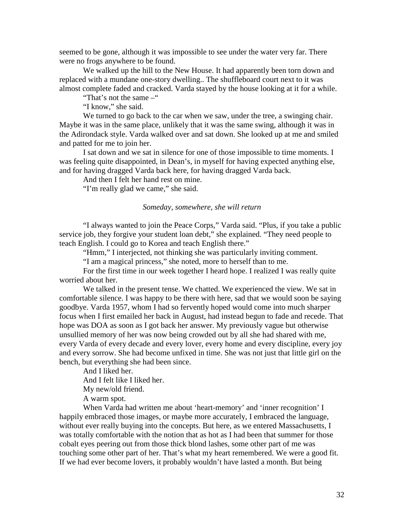seemed to be gone, although it was impossible to see under the water very far. There were no frogs anywhere to be found.

We walked up the hill to the New House. It had apparently been torn down and replaced with a mundane one-story dwelling.. The shuffleboard court next to it was almost complete faded and cracked. Varda stayed by the house looking at it for a while.

"That's not the same  $-$ "

"I know," she said.

We turned to go back to the car when we saw, under the tree, a swinging chair. Maybe it was in the same place, unlikely that it was the same swing, although it was in the Adirondack style. Varda walked over and sat down. She looked up at me and smiled and patted for me to join her.

I sat down and we sat in silence for one of those impossible to time moments. I was feeling quite disappointed, in Dean's, in myself for having expected anything else, and for having dragged Varda back here, for having dragged Varda back.

And then I felt her hand rest on mine.

"I'm really glad we came," she said.

# *Someday, somewhere, she will return*

 "I always wanted to join the Peace Corps," Varda said. "Plus, if you take a public service job, they forgive your student loan debt," she explained. "They need people to teach English. I could go to Korea and teach English there."

"Hmm," I interjected, not thinking she was particularly inviting comment.

"I am a magical princess," she noted, more to herself than to me.

 For the first time in our week together I heard hope. I realized I was really quite worried about her.

 We talked in the present tense. We chatted. We experienced the view. We sat in comfortable silence. I was happy to be there with here, sad that we would soon be saying goodbye. Varda 1957, whom I had so fervently hoped would come into much sharper focus when I first emailed her back in August, had instead begun to fade and recede. That hope was DOA as soon as I got back her answer. My previously vague but otherwise unsullied memory of her was now being crowded out by all she had shared with me, every Varda of every decade and every lover, every home and every discipline, every joy and every sorrow. She had become unfixed in time. She was not just that little girl on the bench, but everything she had been since.

 And I liked her. And I felt like I liked her.

My new/old friend.

A warm spot.

 When Varda had written me about 'heart-memory' and 'inner recognition' I happily embraced those images, or maybe more accurately, I embraced the language, without ever really buying into the concepts. But here, as we entered Massachusetts, I was totally comfortable with the notion that as hot as I had been that summer for those cobalt eyes peering out from those thick blond lashes, some other part of me was touching some other part of her. That's what my heart remembered. We were a good fit. If we had ever become lovers, it probably wouldn't have lasted a month. But being